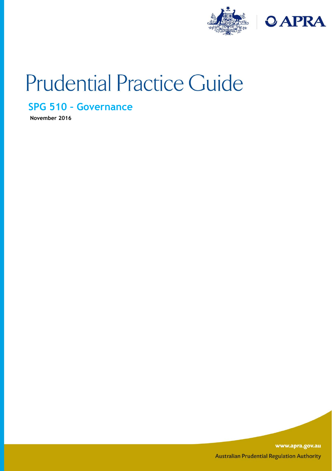

# **Prudential Practice Guide**

## **SPG 510 – Governance**

**November 2016**

www.apra.gov.au **Australian Prudential Regulation Authority**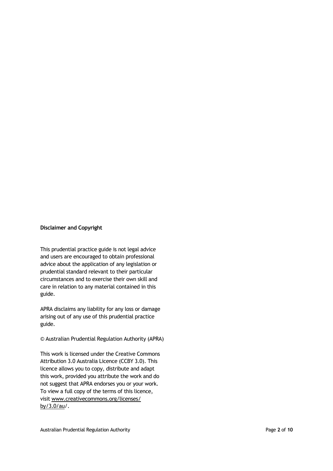#### **Disclaimer and Copyright**

This prudential practice guide is not legal advice and users are encouraged to obtain professional advice about the application of any legislation or prudential standard relevant to their particular circumstances and to exercise their own skill and care in relation to any material contained in this guide.

APRA disclaims any liability for any loss or damage arising out of any use of this prudential practice guide.

#### © Australian Prudential Regulation Authority (APRA)

This work is licensed under the Creative Commons Attribution 3.0 Australia Licence (CCBY 3.0). This licence allows you to copy, distribute and adapt this work, provided you attribute the work and do not suggest that APRA endorses you or your work. To view a full copy of the terms of this licence, visit www.creativecommons.org/licenses/ by/3.0/au/.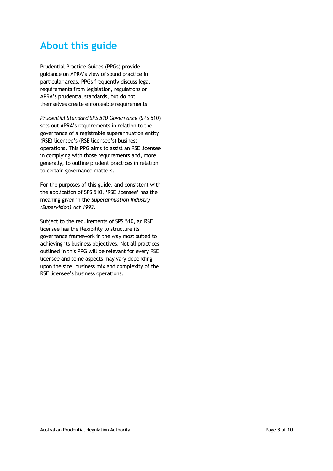# **About this guide**

Prudential Practice Guides (PPGs) provide guidance on APRA's view of sound practice in particular areas. PPGs frequently discuss legal requirements from legislation, regulations or APRA's prudential standards, but do not themselves create enforceable requirements.

*Prudential Standard SPS 510 Governance* (SPS 510) sets out APRA's requirements in relation to the governance of a registrable superannuation entity (RSE) licensee's (RSE licensee's) business operations. This PPG aims to assist an RSE licensee in complying with those requirements and, more generally, to outline prudent practices in relation to certain governance matters.

For the purposes of this guide, and consistent with the application of SPS 510, 'RSE licensee' has the meaning given in the *Superannuation Industry (Supervision) Act 1993*.

Subject to the requirements of SPS 510, an RSE licensee has the flexibility to structure its governance framework in the way most suited to achieving its business objectives. Not all practices outlined in this PPG will be relevant for every RSE licensee and some aspects may vary depending upon the size, business mix and complexity of the RSE licensee's business operations.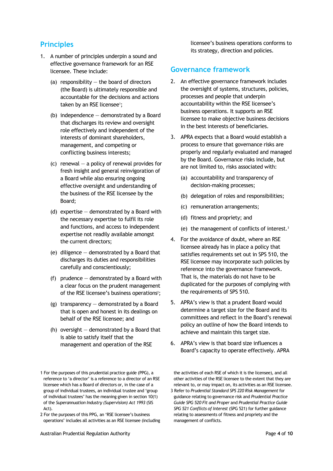## **Principles**

- 1. A number of principles underpin a sound and effective governance framework for an RSE licensee. These include:
	- (a) responsibility  $-$  the board of directors (the Board) is ultimately responsible and accountable for the decisions and actions taken by an RSE licensee<sup>1</sup>;
	- (b) independence demonstrated by a Board that discharges its review and oversight role effectively and independent of the interests of dominant shareholders, management, and competing or conflicting business interests;
	- (c) renewal  $-$  a policy of renewal provides for fresh insight and general reinvigoration of a Board while also ensuring ongoing effective oversight and understanding of the business of the RSE licensee by the Board;
	- (d) expertise demonstrated by a Board with the necessary expertise to fulfil its role and functions, and access to independent expertise not readily available amongst the current directors;
	- (e) diligence  $-$  demonstrated by a Board that discharges its duties and responsibilities carefully and conscientiously;
	- (f) prudence  $-$  demonstrated by a Board with a clear focus on the prudent management of the RSE licensee's business operations<sup>2</sup>;
	- (g) transparency  $-$  demonstrated by a Board that is open and honest in its dealings on behalf of the RSE licensee; and
	- (h) oversight  $-$  demonstrated by a Board that is able to satisfy itself that the management and operation of the RSE

2 For the purposes of this PPG, an 'RSE licensee's business operations' includes all activities as an RSE licensee (including licensee's business operations conforms to its strategy, direction and policies.

#### **Governance framework**

- 2. An effective governance framework includes the oversight of systems, structures, policies, processes and people that underpin accountability within the RSE licensee's business operations. It supports an RSE licensee to make objective business decisions in the best interests of beneficiaries.
- 3. APRA expects that a Board would establish a process to ensure that governance risks are properly and regularly evaluated and managed by the Board. Governance risks include, but are not limited to, risks associated with:
	- (a) accountability and transparency of decision-making processes;
	- (b) delegation of roles and responsibilities;
	- (c) remuneration arrangements;
	- (d) fitness and propriety; and
	- (e) the management of conflicts of interest.<sup>3</sup>
- 4. For the avoidance of doubt, where an RSE licensee already has in place a policy that satisfies requirements set out in SPS 510, the RSE licensee may incorporate such policies by reference into the governance framework. That is, the materials do not have to be duplicated for the purposes of complying with the requirements of SPS 510.
- 5. APRA's view is that a prudent Board would determine a target size for the Board and its committees and reflect in the Board's renewal policy an outline of how the Board intends to achieve and maintain this target size.
- 6. APRA's view is that board size influences a Board's capacity to operate effectively. APRA

the activities of each RSE of which it is the licensee), and all other activities of the RSE licensee to the extent that they are relevant to, or may impact on, its activities as an RSE licensee.

3 Refer to *Prudential Standard SPS 220 Risk Management* for guidance relating to governance risk and *Prudential Practice Guide SPG 520 Fit and Proper* and *Prudential Practice Guide SPG 521 Conflicts of Interest* (SPG 521) for further guidance relating to assessments of fitness and propriety and the management of conflicts.

<sup>1</sup> For the purposes of this prudential practice guide (PPG), a reference to 'a director' is a reference to a director of an RSE licensee which has a Board of directors or, in the case of a group of individual trustees, an individual trustee and 'group of individual trustees' has the meaning given in section 10(1) of the *Superannuation Industry (Supervision) Act 1993* (SIS Act).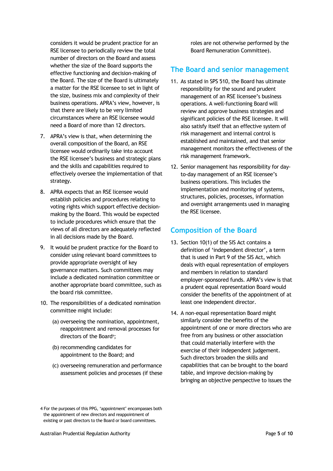considers it would be prudent practice for an RSE licensee to periodically review the total number of directors on the Board and assess whether the size of the Board supports the effective functioning and decision-making of the Board. The size of the Board is ultimately a matter for the RSE licensee to set in light of the size, business mix and complexity of their business operations. APRA's view, however, is that there are likely to be very limited circumstances where an RSE licensee would need a Board of more than 12 directors.

- 7. APRA's view is that, when determining the overall composition of the Board, an RSE licensee would ordinarily take into account the RSE licensee's business and strategic plans and the skills and capabilities required to effectively oversee the implementation of that strategy.
- 8. APRA expects that an RSE licensee would establish policies and procedures relating to voting rights which support effective decisionmaking by the Board. This would be expected to include procedures which ensure that the views of all directors are adequately reflected in all decisions made by the Board.
- 9. It would be prudent practice for the Board to consider using relevant board committees to provide appropriate oversight of key governance matters. Such committees may include a dedicated nomination committee or another appropriate board committee, such as the board risk committee.
- 10. The responsibilities of a dedicated nomination committee might include:
	- (a) overseeing the nomination, appointment, reappointment and removal processes for directors of the Board<sup>4</sup>;
	- (b) recommending candidates for appointment to the Board; and
	- (c) overseeing remuneration and performance assessment policies and processes (if these

roles are not otherwise performed by the Board Remuneration Committee).

#### **The Board and senior management**

- 11. As stated in SPS 510, the Board has ultimate responsibility for the sound and prudent management of an RSE licensee's business operations. A well-functioning Board will review and approve business strategies and significant policies of the RSE licensee. It will also satisfy itself that an effective system of risk management and internal control is established and maintained, and that senior management monitors the effectiveness of the risk management framework.
- 12. Senior management has responsibility for dayto-day management of an RSE licensee's business operations. This includes the implementation and monitoring of systems, structures, policies, processes, information and oversight arrangements used in managing the RSE licensee.

### **Composition of the Board**

- 13. Section 10(1) of the SIS Act contains a definition of 'independent director', a term that is used in Part 9 of the SIS Act, which deals with equal representation of employers and members in relation to standard employer-sponsored funds. APRA's view is that a prudent equal representation Board would consider the benefits of the appointment of at least one independent director.
- 14. A non-equal representation Board might similarly consider the benefits of the appointment of one or more directors who are free from any business or other association that could materially interfere with the exercise of their independent judgement. Such directors broaden the skills and capabilities that can be brought to the board table, and improve decision-making by bringing an objective perspective to issues the

4 For the purposes of this PPG, 'appointment' encompasses both

the appointment of new directors and reappointment of existing or past directors to the Board or board committees.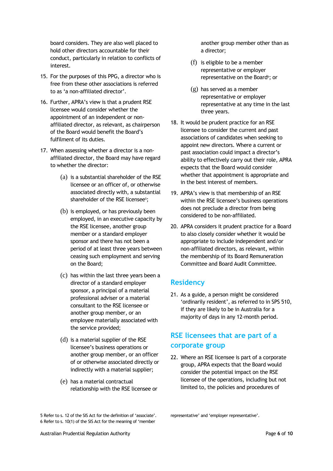board considers. They are also well placed to hold other directors accountable for their conduct, particularly in relation to conflicts of interest.

- 15. For the purposes of this PPG, a director who is free from these other associations is referred to as 'a non-affiliated director'.
- 16. Further, APRA's view is that a prudent RSE licensee would consider whether the appointment of an independent or nonaffiliated director, as relevant, as chairperson of the Board would benefit the Board's fulfilment of its duties.
- 17. When assessing whether a director is a nonaffiliated director, the Board may have regard to whether the director:
	- (a) is a substantial shareholder of the RSE licensee or an officer of, or otherwise associated directly with, a substantial shareholder of the RSE licensee<sup>5</sup>;
	- (b) is employed, or has previously been employed, in an executive capacity by the RSE licensee, another group member or a standard employer sponsor and there has not been a period of at least three years between ceasing such employment and serving on the Board;
	- (c) has within the last three years been a director of a standard employer sponsor, a principal of a material professional adviser or a material consultant to the RSE licensee or another group member, or an employee materially associated with the service provided;
	- (d) is a material supplier of the RSE licensee's business operations or another group member, or an officer of or otherwise associated directly or indirectly with a material supplier;
	- (e) has a material contractual relationship with the RSE licensee or

another group member other than as a director;

- (f) is eligible to be a member representative or employer representative on the Board<sup>6</sup>; or
- (g) has served as a member representative or employer representative at any time in the last three years.
- 18. It would be prudent practice for an RSE licensee to consider the current and past associations of candidates when seeking to appoint new directors. Where a current or past association could impact a director's ability to effectively carry out their role, APRA expects that the Board would consider whether that appointment is appropriate and in the best interest of members.
- 19. APRA's view is that membership of an RSE within the RSE licensee's business operations does not preclude a director from being considered to be non-affiliated.
- 20. APRA considers it prudent practice for a Board to also closely consider whether it would be appropriate to include independent and/or non-affiliated directors, as relevant, within the membership of its Board Remuneration Committee and Board Audit Committee.

## **Residency**

21. As a guide, a person might be considered 'ordinarily resident', as referred to in SPS 510, if they are likely to be in Australia for a majority of days in any 12-month period.

## **RSE licensees that are part of a corporate group**

22. Where an RSE licensee is part of a corporate group, APRA expects that the Board would consider the potential impact on the RSE licensee of the operations, including but not limited to, the policies and procedures of

<sup>5</sup> Refer to s. 12 of the SIS Act for the definition of 'associate'. 6 Refer to s. 10(1) of the SIS Act for the meaning of 'member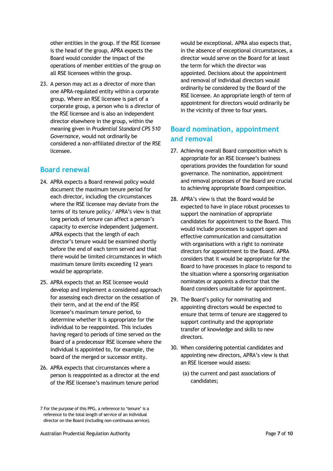other entities in the group. If the RSE licensee is the head of the group, APRA expects the Board would consider the impact of the operations of member entities of the group on all RSE licensees within the group.

23. A person may act as a director of more than one APRA-regulated entity within a corporate group. Where an RSE licensee is part of a corporate group, a person who is a director of the RSE licensee and is also an independent director elsewhere in the group, within the meaning given in *Prudential Standard CPS 510 Governance*, would not ordinarily be considered a non-affiliated director of the RSE licensee.

#### **Board renewal**

- 24. APRA expects a Board renewal policy would document the maximum tenure period for each director, including the circumstances where the RSE licensee may deviate from the terms of its tenure policy.<sup>7</sup> APRA's view is that long periods of tenure can affect a person's capacity to exercise independent judgement. APRA expects that the length of each director's tenure would be examined shortly before the end of each term served and that there would be limited circumstances in which maximum tenure limits exceeding 12 years would be appropriate.
- 25. APRA expects that an RSE licensee would develop and implement a considered approach for assessing each director on the cessation of their term, and at the end of the RSE licensee's maximum tenure period, to determine whether it is appropriate for the individual to be reappointed. This includes having regard to periods of time served on the Board of a predecessor RSE licensee where the individual is appointed to, for example, the board of the merged or successor entity.
- 26. APRA expects that circumstances where a person is reappointed as a director at the end of the RSE licensee's maximum tenure period

would be exceptional. APRA also expects that, in the absence of exceptional circumstances, a director would serve on the Board for at least the term for which the director was appointed. Decisions about the appointment and removal of individual directors would ordinarily be considered by the Board of the RSE licensee. An appropriate length of term of appointment for directors would ordinarily be in the vicinity of three to four years.

## **Board nomination, appointment and removal**

- 27. Achieving overall Board composition which is appropriate for an RSE licensee's business operations provides the foundation for sound governance. The nomination, appointment and removal processes of the Board are crucial to achieving appropriate Board composition.
- 28. APRA's view is that the Board would be expected to have in place robust processes to support the nomination of appropriate candidates for appointment to the Board. This would include processes to support open and effective communication and consultation with organisations with a right to nominate directors for appointment to the Board. APRA considers that it would be appropriate for the Board to have processes in place to respond to the situation where a sponsoring organisation nominates or appoints a director that the Board considers unsuitable for appointment.
- 29. The Board's policy for nominating and appointing directors would be expected to ensure that terms of tenure are staggered to support continuity and the appropriate transfer of knowledge and skills to new directors.
- 30. When considering potential candidates and appointing new directors, APRA's view is that an RSE licensee would assess:
	- (a) the current and past associations of candidates;

<sup>7</sup> For the purpose of this PPG, a reference to 'tenure' is a reference to the total length of service of an individual director on the Board (including non-continuous service).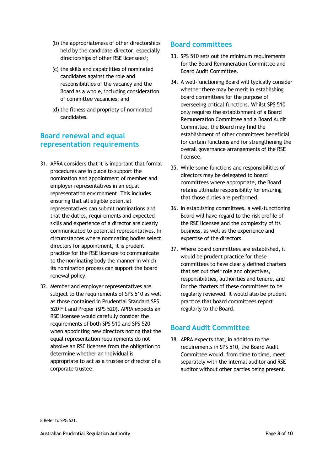- (b) the appropriateness of other directorships held by the candidate director, especially directorships of other RSE licensees<sup>8</sup>;
- (c) the skills and capabilities of nominated candidates against the role and responsibilities of the vacancy and the Board as a whole, including consideration of committee vacancies; and
- (d) the fitness and propriety of nominated candidates.

## **Board renewal and equal representation requirements**

- 31. APRA considers that it is important that formal procedures are in place to support the nomination and appointment of member and employer representatives in an equal representation environment. This includes ensuring that all eligible potential representatives can submit nominations and that the duties, requirements and expected skills and experience of a director are clearly communicated to potential representatives. In circumstances where nominating bodies select directors for appointment, it is prudent practice for the RSE licensee to communicate to the nominating body the manner in which its nomination process can support the board renewal policy.
- 32. Member and employer representatives are subject to the requirements of SPS 510 as well as those contained in Prudential Standard SPS 520 Fit and Proper (SPS 520). APRA expects an RSE licensee would carefully consider the requirements of both SPS 510 and SPS 520 when appointing new directors noting that the equal representation requirements do not absolve an RSE licensee from the obligation to determine whether an individual is appropriate to act as a trustee or director of a corporate trustee.

### **Board committees**

- 33. SPS 510 sets out the minimum requirements for the Board Remuneration Committee and Board Audit Committee.
- 34. A well-functioning Board will typically consider whether there may be merit in establishing board committees for the purpose of overseeing critical functions. Whilst SPS 510 only requires the establishment of a Board Remuneration Committee and a Board Audit Committee, the Board may find the establishment of other committees beneficial for certain functions and for strengthening the overall governance arrangements of the RSE licensee.
- 35. While some functions and responsibilities of directors may be delegated to board committees where appropriate, the Board retains ultimate responsibility for ensuring that those duties are performed.
- 36. In establishing committees, a well-functioning Board will have regard to the risk profile of the RSE licensee and the complexity of its business, as well as the experience and expertise of the directors.
- 37. Where board committees are established, it would be prudent practice for these committees to have clearly defined charters that set out their role and objectives, responsibilities, authorities and tenure, and for the charters of these committees to be regularly reviewed. It would also be prudent practice that board committees report regularly to the Board.

### **Board Audit Committee**

38. APRA expects that, in addition to the requirements in SPS 510, the Board Audit Committee would, from time to time, meet separately with the internal auditor and RSE auditor without other parties being present.

8 Refer to SPG 521.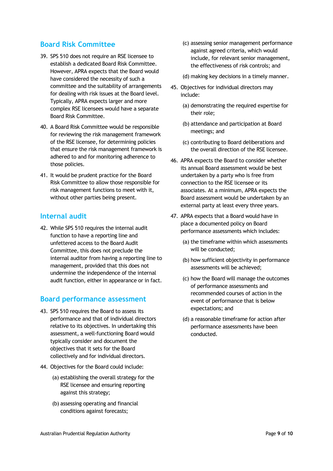## **Board Risk Committee**

- 39. SPS 510 does not require an RSE licensee to establish a dedicated Board Risk Committee. However, APRA expects that the Board would have considered the necessity of such a committee and the suitability of arrangements for dealing with risk issues at the Board level. Typically, APRA expects larger and more complex RSE licensees would have a separate Board Risk Committee.
- 40. A Board Risk Committee would be responsible for reviewing the risk management framework of the RSE licensee, for determining policies that ensure the risk management framework is adhered to and for monitoring adherence to those policies.
- 41. It would be prudent practice for the Board Risk Committee to allow those responsible for risk management functions to meet with it, without other parties being present.

#### **Internal audit**

42. While SPS 510 requires the internal audit function to have a reporting line and unfettered access to the Board Audit Committee, this does not preclude the internal auditor from having a reporting line to management, provided that this does not undermine the independence of the internal audit function, either in appearance or in fact.

#### **Board performance assessment**

- 43. SPS 510 requires the Board to assess its performance and that of individual directors relative to its objectives. In undertaking this assessment, a well-functioning Board would typically consider and document the objectives that it sets for the Board collectively and for individual directors.
- 44. Objectives for the Board could include:
	- (a) establishing the overall strategy for the RSE licensee and ensuring reporting against this strategy;
	- (b) assessing operating and financial conditions against forecasts;
- (c) assessing senior management performance against agreed criteria, which would include, for relevant senior management, the effectiveness of risk controls; and
- (d) making key decisions in a timely manner.
- 45. Objectives for individual directors may include:
	- (a) demonstrating the required expertise for their role;
	- (b) attendance and participation at Board meetings; and
	- (c) contributing to Board deliberations and the overall direction of the RSE licensee.
- 46. APRA expects the Board to consider whether its annual Board assessment would be best undertaken by a party who is free from connection to the RSE licensee or its associates. At a minimum, APRA expects the Board assessment would be undertaken by an external party at least every three years.
- 47. APRA expects that a Board would have in place a documented policy on Board performance assessments which includes:
	- (a) the timeframe within which assessments will be conducted;
	- (b) how sufficient objectivity in performance assessments will be achieved;
	- (c) how the Board will manage the outcomes of performance assessments and recommended courses of action in the event of performance that is below expectations; and
	- (d) a reasonable timeframe for action after performance assessments have been conducted.